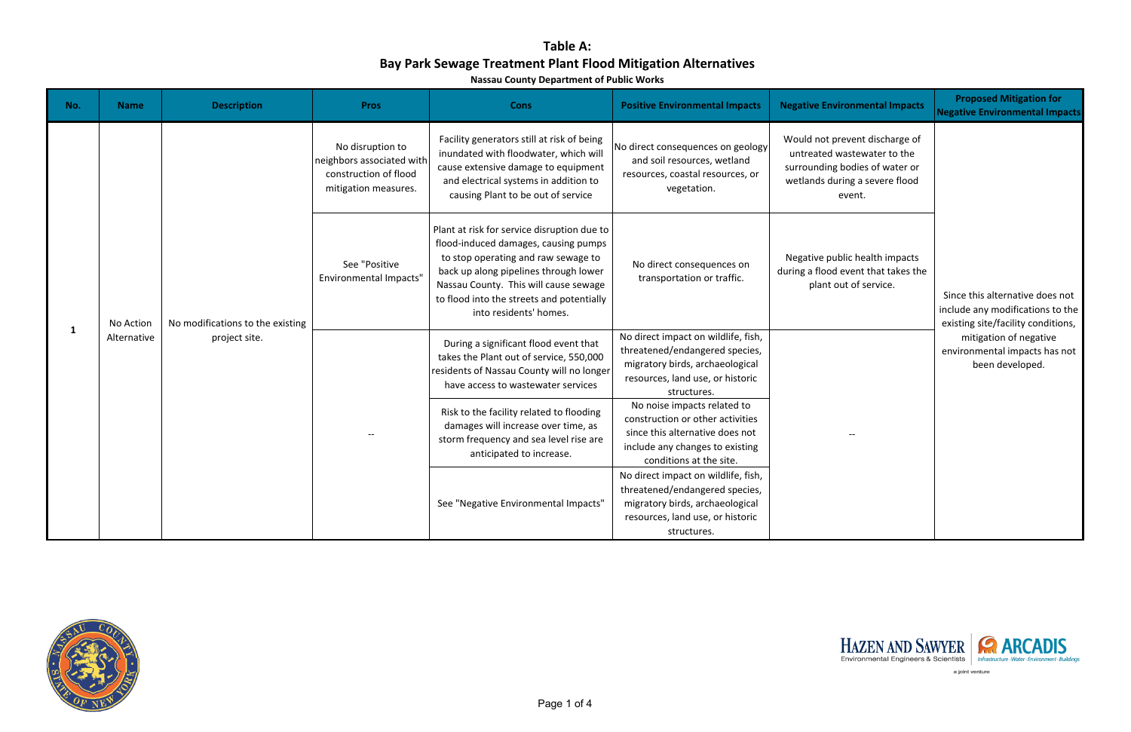**Nassau County Department of Public Works**

| No. | <b>Name</b> | <b>Description</b>                                | <b>Pros</b>                                                                                    | <b>Cons</b>                                                                                                                                                                                                                                                                         | <b>Positive Environmental Impacts</b>                                                                                                                            | <b>Negative Environmental Impacts</b>                                                                                                       | <b>Proposed Mitigation for</b><br><b>Negative Environmental Impacts</b>                                   |                                                                            |
|-----|-------------|---------------------------------------------------|------------------------------------------------------------------------------------------------|-------------------------------------------------------------------------------------------------------------------------------------------------------------------------------------------------------------------------------------------------------------------------------------|------------------------------------------------------------------------------------------------------------------------------------------------------------------|---------------------------------------------------------------------------------------------------------------------------------------------|-----------------------------------------------------------------------------------------------------------|----------------------------------------------------------------------------|
| 1   |             | No modifications to the existing<br>project site. | No disruption to<br>neighbors associated with<br>construction of flood<br>mitigation measures. | Facility generators still at risk of being<br>inundated with floodwater, which will<br>cause extensive damage to equipment<br>and electrical systems in addition to<br>causing Plant to be out of service                                                                           | No direct consequences on geology<br>and soil resources, wetland<br>resources, coastal resources, or<br>vegetation.                                              | Would not prevent discharge of<br>untreated wastewater to the<br>surrounding bodies of water or<br>wetlands during a severe flood<br>event. |                                                                                                           |                                                                            |
|     | No Action   |                                                   | See "Positive<br><b>Environmental Impacts"</b>                                                 | Plant at risk for service disruption due to<br>flood-induced damages, causing pumps<br>to stop operating and raw sewage to<br>back up along pipelines through lower<br>Nassau County. This will cause sewage<br>to flood into the streets and potentially<br>into residents' homes. | No direct consequences on<br>transportation or traffic.                                                                                                          | Negative public health impacts<br>during a flood event that takes the<br>plant out of service.                                              | Since this alternative does not<br>include any modifications to the<br>existing site/facility conditions, |                                                                            |
|     | Alternative |                                                   |                                                                                                | During a significant flood event that<br>takes the Plant out of service, 550,000<br>residents of Nassau County will no longer<br>have access to wastewater services                                                                                                                 | No direct impact on wildlife, fish,<br>threatened/endangered species,<br>migratory birds, archaeological<br>resources, land use, or historic<br>structures.      |                                                                                                                                             |                                                                                                           | mitigation of negative<br>environmental impacts has not<br>been developed. |
|     |             |                                                   |                                                                                                | Risk to the facility related to flooding<br>damages will increase over time, as<br>storm frequency and sea level rise are<br>anticipated to increase.                                                                                                                               | No noise impacts related to<br>construction or other activities<br>since this alternative does not<br>include any changes to existing<br>conditions at the site. |                                                                                                                                             |                                                                                                           |                                                                            |
|     |             |                                                   |                                                                                                | See "Negative Environmental Impacts"                                                                                                                                                                                                                                                | No direct impact on wildlife, fish,<br>threatened/endangered species,<br>migratory birds, archaeological<br>resources, land use, or historic<br>structures.      |                                                                                                                                             |                                                                                                           |                                                                            |





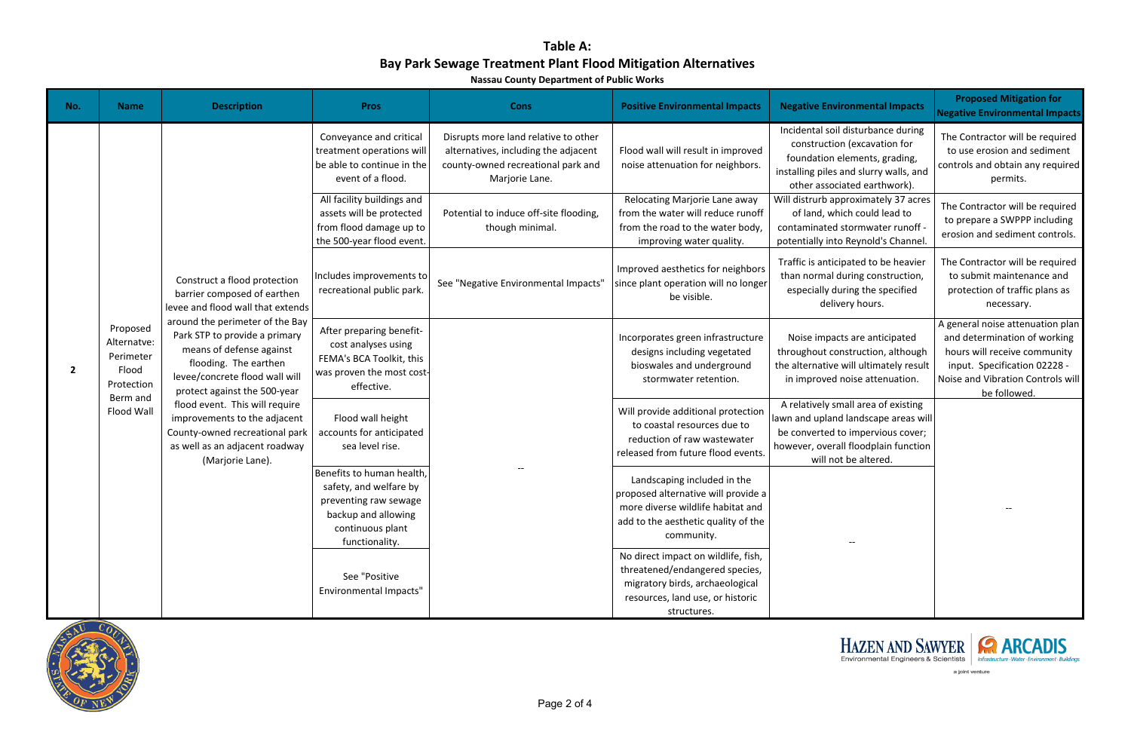**Nassau County Department of Public Works**

| No.            | <b>Name</b>                                                                           | <b>Description</b>                                                                                                                                                                                                                                                                                                                                                                                                                                    | <b>Pros</b>                                                                                                                               | <b>Cons</b>                                                                                                                          | <b>Positive Environmental Impacts</b>                                                                                                                        | <b>Negative Environmental Impacts</b>                                                                                                                                         | <b>Proposed Mitigation for</b><br><b>Negative Environmental Impacts</b>                                                                                                               |  |
|----------------|---------------------------------------------------------------------------------------|-------------------------------------------------------------------------------------------------------------------------------------------------------------------------------------------------------------------------------------------------------------------------------------------------------------------------------------------------------------------------------------------------------------------------------------------------------|-------------------------------------------------------------------------------------------------------------------------------------------|--------------------------------------------------------------------------------------------------------------------------------------|--------------------------------------------------------------------------------------------------------------------------------------------------------------|-------------------------------------------------------------------------------------------------------------------------------------------------------------------------------|---------------------------------------------------------------------------------------------------------------------------------------------------------------------------------------|--|
|                |                                                                                       |                                                                                                                                                                                                                                                                                                                                                                                                                                                       | Conveyance and critical<br>treatment operations will<br>be able to continue in the<br>event of a flood.                                   | Disrupts more land relative to other<br>alternatives, including the adjacent<br>county-owned recreational park and<br>Marjorie Lane. | Flood wall will result in improved<br>noise attenuation for neighbors.                                                                                       | Incidental soil disturbance during<br>construction (excavation for<br>foundation elements, grading,<br>installing piles and slurry walls, and<br>other associated earthwork). | The Contractor will be required<br>to use erosion and sediment<br>controls and obtain any required<br>permits.                                                                        |  |
|                |                                                                                       |                                                                                                                                                                                                                                                                                                                                                                                                                                                       | All facility buildings and<br>assets will be protected<br>from flood damage up to<br>the 500-year flood event                             | Potential to induce off-site flooding,<br>though minimal.                                                                            | Relocating Marjorie Lane away<br>from the water will reduce runoff<br>from the road to the water body,<br>improving water quality.                           | Will distrurb approximately 37 acres<br>of land, which could lead to<br>contaminated stormwater runoff -<br>potentially into Reynold's Channel.                               | The Contractor will be required<br>to prepare a SWPPP including<br>erosion and sediment controls.                                                                                     |  |
| $\overline{2}$ | Proposed<br>Alternatve:<br>Perimeter<br>Flood<br>Protection<br>Berm and<br>Flood Wall | Construct a flood protection<br>barrier composed of earthen<br>levee and flood wall that extends<br>around the perimeter of the Bay<br>Park STP to provide a primary<br>means of defense against<br>flooding. The earthen<br>levee/concrete flood wall will<br>protect against the 500-year<br>flood event. This will require<br>improvements to the adjacent<br>County-owned recreational park<br>as well as an adjacent roadway<br>(Marjorie Lane). | Includes improvements to<br>recreational public park.                                                                                     | See "Negative Environmental Impacts"                                                                                                 | Improved aesthetics for neighbors<br>since plant operation will no longer<br>be visible.                                                                     | Traffic is anticipated to be heavier<br>than normal during construction,<br>especially during the specified<br>delivery hours.                                                | The Contractor will be required<br>to submit maintenance and<br>protection of traffic plans as<br>necessary.                                                                          |  |
|                |                                                                                       |                                                                                                                                                                                                                                                                                                                                                                                                                                                       | After preparing benefit-<br>cost analyses using<br>FEMA's BCA Toolkit, this<br>was proven the most cost-<br>effective.                    |                                                                                                                                      | Incorporates green infrastructure<br>designs including vegetated<br>bioswales and underground<br>stormwater retention.                                       | Noise impacts are anticipated<br>throughout construction, although<br>the alternative will ultimately result<br>in improved noise attenuation.                                | A general noise attenuation plan<br>and determination of working<br>hours will receive community<br>input. Specification 02228 -<br>Noise and Vibration Controls will<br>be followed. |  |
|                |                                                                                       |                                                                                                                                                                                                                                                                                                                                                                                                                                                       |                                                                                                                                           | Flood wall height<br>accounts for anticipated<br>sea level rise.                                                                     |                                                                                                                                                              | Will provide additional protection<br>to coastal resources due to<br>reduction of raw wastewater<br>released from future flood events.                                        | A relatively small area of existing<br>lawn and upland landscape areas will<br>be converted to impervious cover;<br>however, overall floodplain function<br>will not be altered.      |  |
|                |                                                                                       |                                                                                                                                                                                                                                                                                                                                                                                                                                                       | Benefits to human health,<br>safety, and welfare by<br>preventing raw sewage<br>backup and allowing<br>continuous plant<br>functionality. |                                                                                                                                      | Landscaping included in the<br>proposed alternative will provide a<br>more diverse wildlife habitat and<br>add to the aesthetic quality of the<br>community. | $-\, -$                                                                                                                                                                       | $- -$                                                                                                                                                                                 |  |
|                |                                                                                       |                                                                                                                                                                                                                                                                                                                                                                                                                                                       | See "Positive<br><b>Environmental Impacts"</b>                                                                                            |                                                                                                                                      | No direct impact on wildlife, fish,<br>threatened/endangered species,<br>migratory birds, archaeological<br>resources, land use, or historic<br>structures.  |                                                                                                                                                                               |                                                                                                                                                                                       |  |





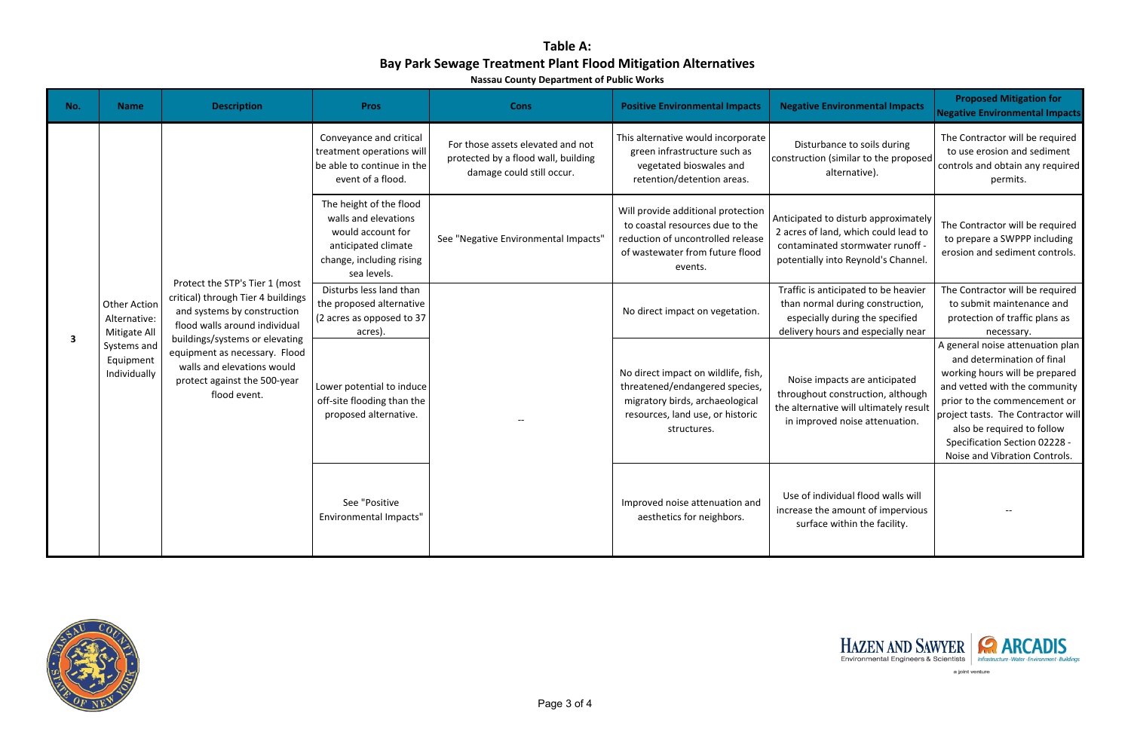**Nassau County Department of Public Works**

| No.                     | <b>Name</b>                                                                                     | <b>Description</b>                                                                                                                                                                                                                                                                    | <b>Pros</b>                                                                                                                            | <b>Cons</b>                                                                                           | <b>Positive Environmental Impacts</b>                                                                                                                       | <b>Negative Environmental Impacts</b>                                                                                                                   | <b>Proposed Mitigation for</b><br><b>Negative Environmental Impacts</b>                                                                                                                                                                                                                                 |
|-------------------------|-------------------------------------------------------------------------------------------------|---------------------------------------------------------------------------------------------------------------------------------------------------------------------------------------------------------------------------------------------------------------------------------------|----------------------------------------------------------------------------------------------------------------------------------------|-------------------------------------------------------------------------------------------------------|-------------------------------------------------------------------------------------------------------------------------------------------------------------|---------------------------------------------------------------------------------------------------------------------------------------------------------|---------------------------------------------------------------------------------------------------------------------------------------------------------------------------------------------------------------------------------------------------------------------------------------------------------|
| $\overline{\mathbf{3}}$ | <b>Other Action</b><br>Alternative:<br>Mitigate All<br>Systems and<br>Equipment<br>Individually | Protect the STP's Tier 1 (most<br>critical) through Tier 4 buildings<br>and systems by construction<br>flood walls around individual<br>buildings/systems or elevating<br>equipment as necessary. Flood<br>walls and elevations would<br>protect against the 500-year<br>flood event. | Conveyance and critical<br>treatment operations will<br>be able to continue in the<br>event of a flood.                                | For those assets elevated and not<br>protected by a flood wall, building<br>damage could still occur. | This alternative would incorporate<br>green infrastructure such as<br>vegetated bioswales and<br>retention/detention areas.                                 | Disturbance to soils during<br>construction (similar to the proposed<br>alternative).                                                                   | The Contractor will be required<br>to use erosion and sediment<br>controls and obtain any required<br>permits.                                                                                                                                                                                          |
|                         |                                                                                                 |                                                                                                                                                                                                                                                                                       | The height of the flood<br>walls and elevations<br>would account for<br>anticipated climate<br>change, including rising<br>sea levels. | See "Negative Environmental Impacts"                                                                  | Will provide additional protection<br>to coastal resources due to the<br>reduction of uncontrolled release<br>of wastewater from future flood<br>events.    | Anticipated to disturb approximately<br>2 acres of land, which could lead to<br>contaminated stormwater runoff -<br>potentially into Reynold's Channel. | The Contractor will be required<br>to prepare a SWPPP including<br>erosion and sediment controls.                                                                                                                                                                                                       |
|                         |                                                                                                 |                                                                                                                                                                                                                                                                                       | Disturbs less land than<br>the proposed alternative<br>(2 acres as opposed to 37<br>acres).                                            |                                                                                                       | No direct impact on vegetation.                                                                                                                             | Traffic is anticipated to be heavier<br>than normal during construction,<br>especially during the specified<br>delivery hours and especially near       | The Contractor will be required<br>to submit maintenance and<br>protection of traffic plans as<br>necessary.                                                                                                                                                                                            |
|                         |                                                                                                 |                                                                                                                                                                                                                                                                                       | Lower potential to induce<br>off-site flooding than the<br>proposed alternative.                                                       |                                                                                                       | No direct impact on wildlife, fish,<br>threatened/endangered species,<br>migratory birds, archaeological<br>resources, land use, or historic<br>structures. | Noise impacts are anticipated<br>throughout construction, although<br>the alternative will ultimately result<br>in improved noise attenuation.          | A general noise attenuation plan<br>and determination of final<br>working hours will be prepared<br>and vetted with the community<br>prior to the commencement or<br>project tasts. The Contractor will<br>also be required to follow<br>Specification Section 02228 -<br>Noise and Vibration Controls. |
|                         |                                                                                                 |                                                                                                                                                                                                                                                                                       | See "Positive<br>Environmental Impacts"                                                                                                |                                                                                                       | Improved noise attenuation and<br>aesthetics for neighbors.                                                                                                 | Use of individual flood walls will<br>increase the amount of impervious<br>surface within the facility.                                                 |                                                                                                                                                                                                                                                                                                         |





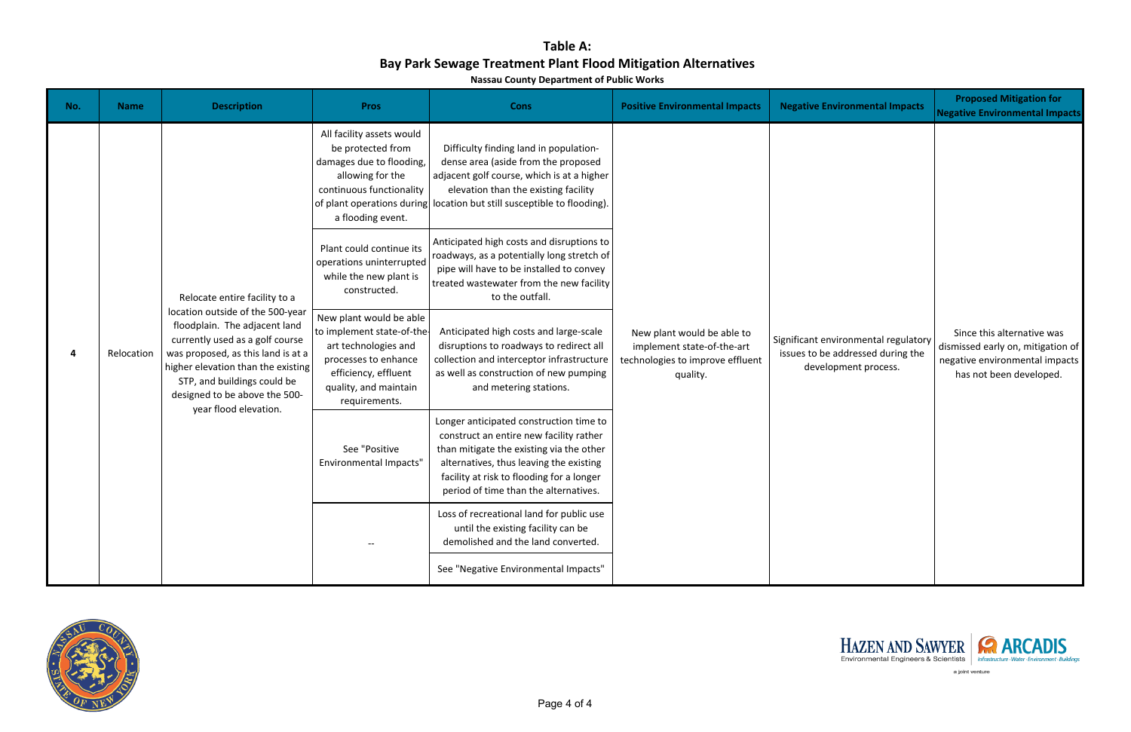**Nassau County Department of Public Works**

| <b>Negative Environmental Impacts</b>                                                             | <b>Proposed Mitigation for</b><br><b>Negative Environmental Impacts</b>                                                      |
|---------------------------------------------------------------------------------------------------|------------------------------------------------------------------------------------------------------------------------------|
| Significant environmental regulatory<br>issues to be addressed during the<br>development process. | Since this alternative was<br>dismissed early on, mitigation of<br>negative environmental impacts<br>has not been developed. |





| No. | <b>Name</b> | <b>Description</b>                                                                                                                                                                                                                                                                                         | <b>Pros</b>                                                                                                                                                                   | <b>Cons</b>                                                                                                                                                                                                                                                     | <b>Positive Environmental Impacts</b>                                                                    | <b>Negative Environmental Impacts</b>                                                             | <b>Proposed Mitigation for</b><br><b>Negative Environmental Impacts</b>                                                      |  |  |  |  |  |  |
|-----|-------------|------------------------------------------------------------------------------------------------------------------------------------------------------------------------------------------------------------------------------------------------------------------------------------------------------------|-------------------------------------------------------------------------------------------------------------------------------------------------------------------------------|-----------------------------------------------------------------------------------------------------------------------------------------------------------------------------------------------------------------------------------------------------------------|----------------------------------------------------------------------------------------------------------|---------------------------------------------------------------------------------------------------|------------------------------------------------------------------------------------------------------------------------------|--|--|--|--|--|--|
| 4   | Relocation  | Relocate entire facility to a<br>location outside of the 500-year<br>floodplain. The adjacent land<br>currently used as a golf course<br>was proposed, as this land is at a<br>higher elevation than the existing<br>STP, and buildings could be<br>designed to be above the 500-<br>year flood elevation. | All facility assets would<br>be protected from<br>damages due to flooding,<br>allowing for the<br>continuous functionality<br>of plant operations during<br>a flooding event. | Difficulty finding land in population-<br>dense area (aside from the proposed<br>adjacent golf course, which is at a higher<br>elevation than the existing facility<br>location but still susceptible to flooding).                                             | New plant would be able to<br>implement state-of-the-art<br>technologies to improve effluent<br>quality. |                                                                                                   |                                                                                                                              |  |  |  |  |  |  |
|     |             |                                                                                                                                                                                                                                                                                                            | Plant could continue its<br>operations uninterrupted<br>while the new plant is<br>constructed.                                                                                | Anticipated high costs and disruptions to<br>roadways, as a potentially long stretch of<br>pipe will have to be installed to convey<br>treated wastewater from the new facility<br>to the outfall.                                                              |                                                                                                          |                                                                                                   |                                                                                                                              |  |  |  |  |  |  |
|     |             |                                                                                                                                                                                                                                                                                                            | New plant would be able<br>to implement state-of-the-<br>art technologies and<br>processes to enhance<br>efficiency, effluent<br>quality, and maintain<br>requirements.       | Anticipated high costs and large-scale<br>disruptions to roadways to redirect all<br>collection and interceptor infrastructure<br>as well as construction of new pumping<br>and metering stations.                                                              |                                                                                                          | Significant environmental regulatory<br>issues to be addressed during the<br>development process. | Since this alternative was<br>dismissed early on, mitigation of<br>negative environmental impacts<br>has not been developed. |  |  |  |  |  |  |
|     |             |                                                                                                                                                                                                                                                                                                            | See "Positive<br><b>Environmental Impacts"</b>                                                                                                                                | Longer anticipated construction time to<br>construct an entire new facility rather<br>than mitigate the existing via the other<br>alternatives, thus leaving the existing<br>facility at risk to flooding for a longer<br>period of time than the alternatives. |                                                                                                          |                                                                                                   |                                                                                                                              |  |  |  |  |  |  |
|     |             |                                                                                                                                                                                                                                                                                                            |                                                                                                                                                                               | Loss of recreational land for public use<br>until the existing facility can be<br>demolished and the land converted.                                                                                                                                            |                                                                                                          |                                                                                                   |                                                                                                                              |  |  |  |  |  |  |
|     |             |                                                                                                                                                                                                                                                                                                            |                                                                                                                                                                               | See "Negative Environmental Impacts"                                                                                                                                                                                                                            |                                                                                                          |                                                                                                   |                                                                                                                              |  |  |  |  |  |  |

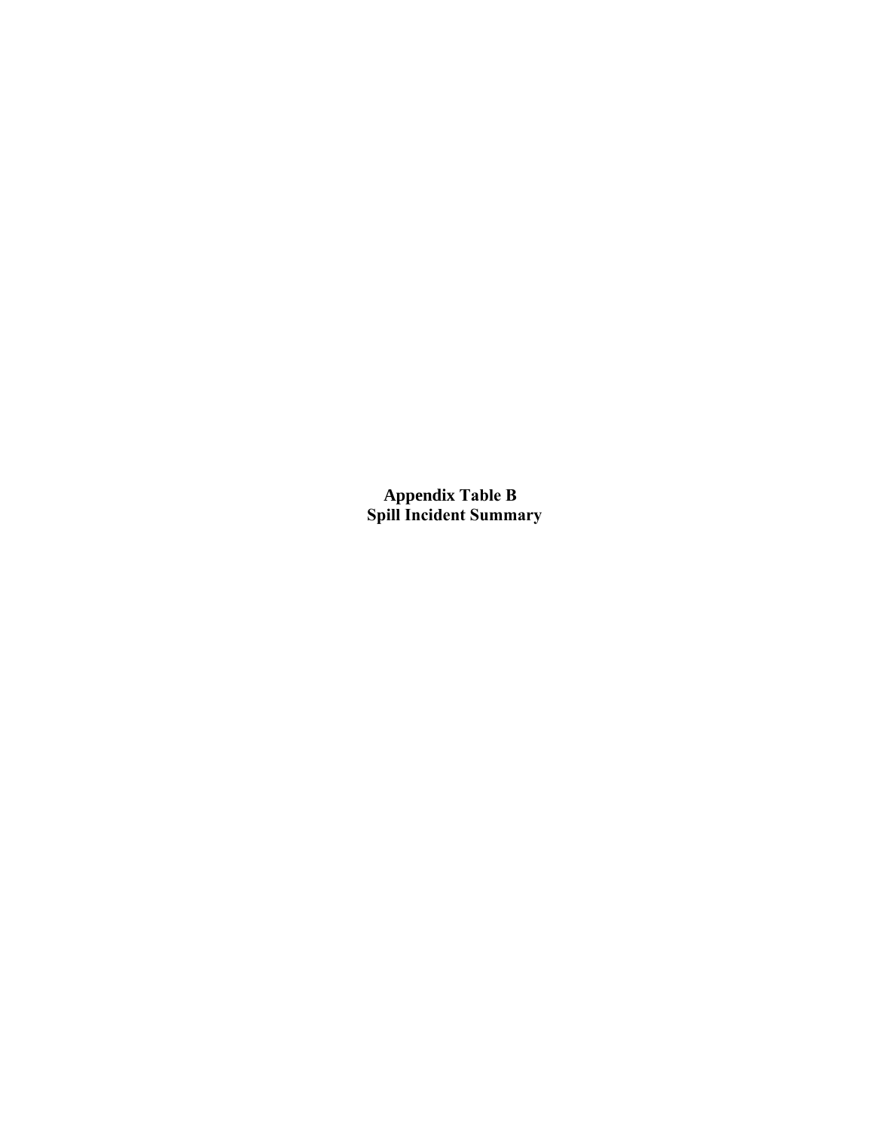**Appendix Table B Spill Incident Summary**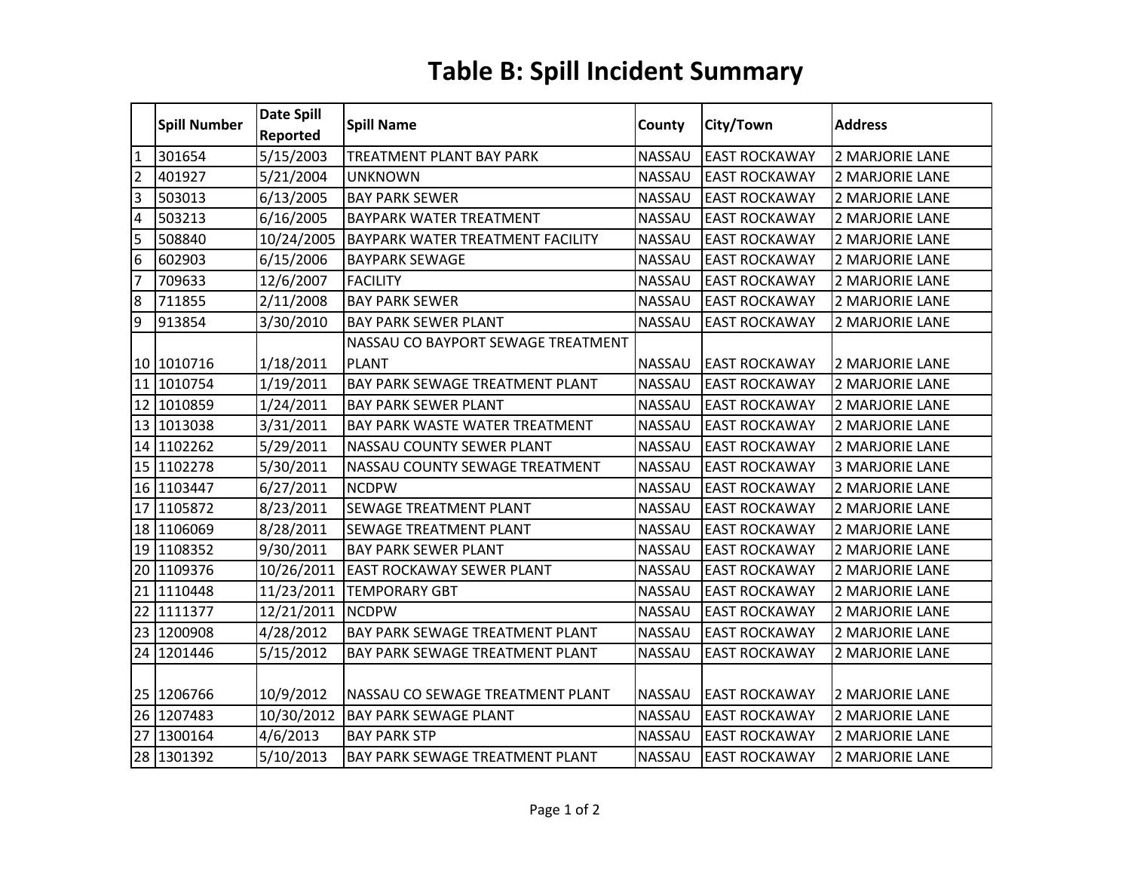# **Table B: Spill Incident Summary**

| 2 MARJORIE LANE        |
|------------------------|
| 2 MARJORIE LANE        |
| <b>2 MARJORIE LANE</b> |
| 2 MARJORIE LANE        |
| 2 MARJORIE LANE        |
| 2 MARJORIE LANE        |
| 2 MARJORIE LANE        |
| 2 MARJORIE LANE        |
| 2 MARJORIE LANE        |
|                        |
| <b>2 MARJORIE LANE</b> |
| 2 MARJORIE LANE        |
| 2 MARJORIE LANE        |
| 2 MARJORIE LANE        |
| 2 MARJORIE LANE        |
| <b>3 MARJORIE LANE</b> |
| 2 MARJORIE LANE        |
| 2 MARJORIE LANE        |
| 2 MARJORIE LANE        |
| 2 MARJORIE LANE        |
| 2 MARJORIE LANE        |
| 2 MARJORIE LANE        |
| 2 MARJORIE LANE        |
| 2 MARJORIE LANE        |
| 2 MARJORIE LANE        |
| 2 MARJORIE LANE        |
| 2 MARJORIE LANE        |
| 2 MARJORIE LANE        |
| <b>2 MARJORIE LANE</b> |
|                        |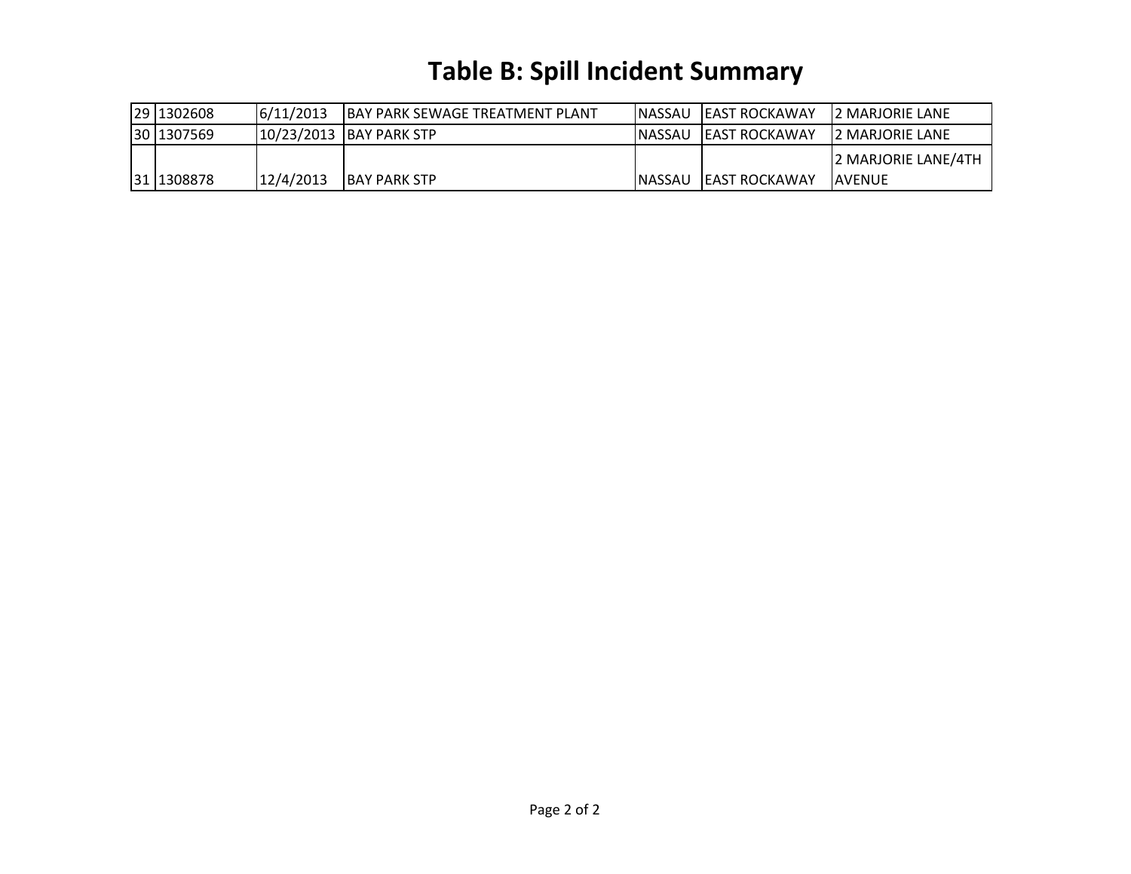# **Table B: Spill Incident Summary**

| 29 1302608  | 6/11/2013 | <b>IBAY PARK SEWAGE TREATMENT PLANT</b> | INASSAU LEAST ROCKAWAY | <b>I2 MARJORIE LANE</b> |
|-------------|-----------|-----------------------------------------|------------------------|-------------------------|
| 30 1307569  |           | 10/23/2013 BAY PARK STP                 | INASSAU LEAST ROCKAWAY | <b>12 MARJORIE LANE</b> |
|             |           |                                         |                        | 2 MARJORIE LANE/4TH     |
| 131 1308878 | 12/4/2013 | <b>IBAY PARK STP</b>                    | INASSAU LEAST ROCKAWAY | <b>IAVENUE</b>          |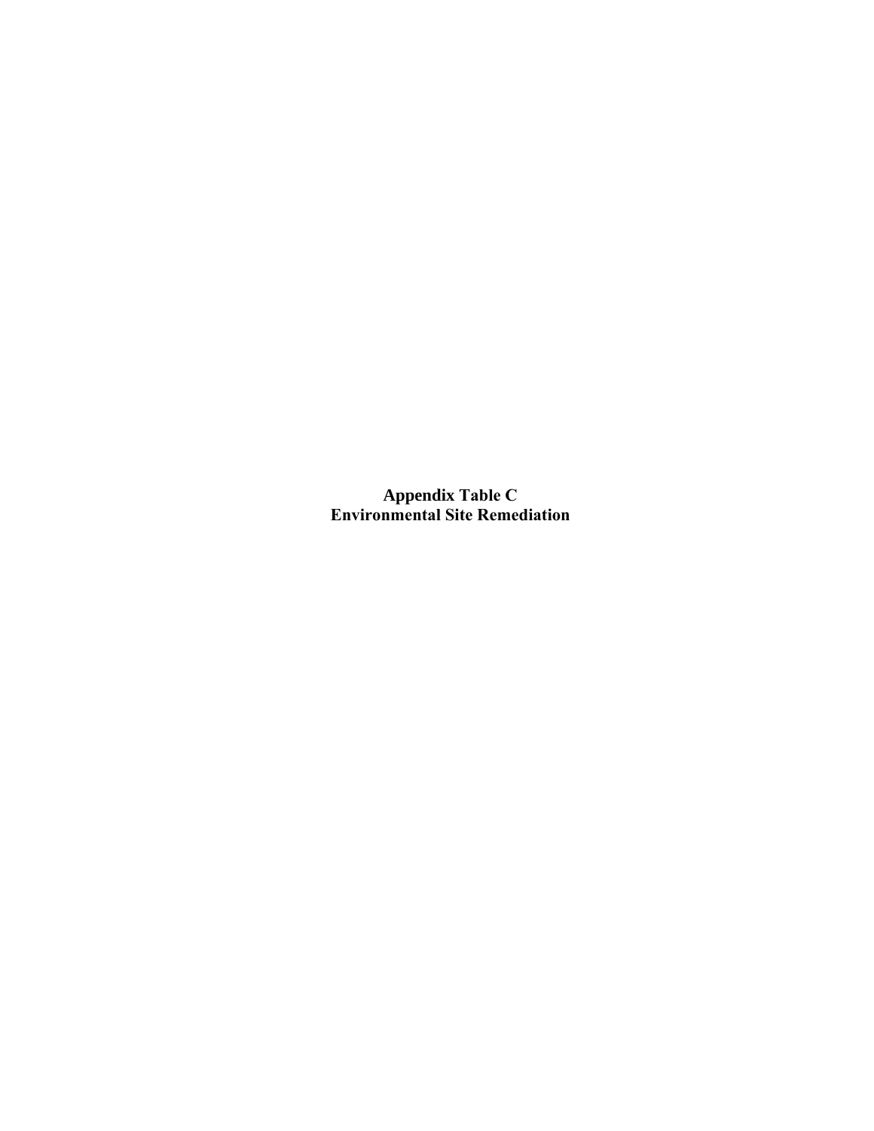**Appendix Table C Environmental Site Remediation**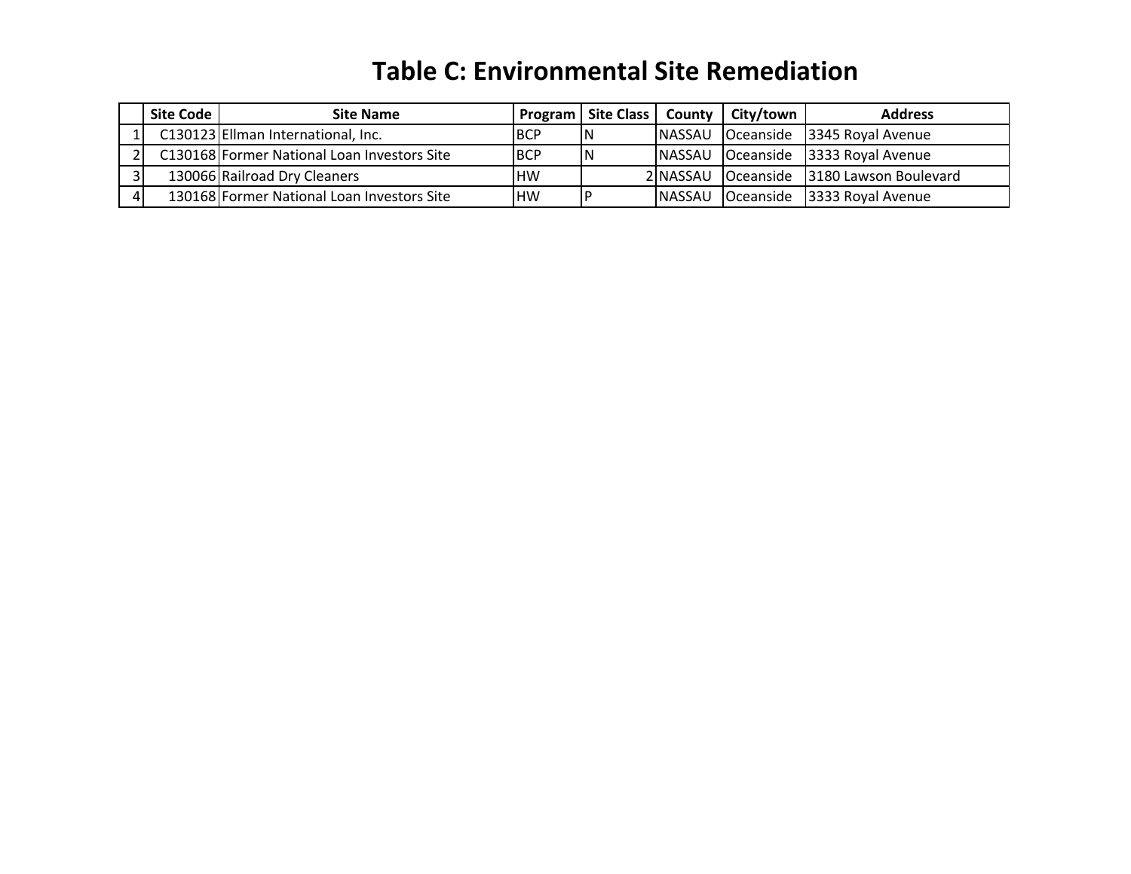## **Table C: Environmental Site Remediation**

| Site Code | <b>Site Name</b>                            |      |    |         | Program   Site Class   County   City/town | <b>Address</b>                           |
|-----------|---------------------------------------------|------|----|---------|-------------------------------------------|------------------------------------------|
|           | C130123 Ellman International, Inc.          | IBCP | IN |         |                                           | NASSAU Oceanside 3345 Royal Avenue       |
|           | C130168 Former National Loan Investors Site | IBCP | ΙN |         |                                           | NASSAU Oceanside 3333 Royal Avenue       |
|           | 130066 Railroad Dry Cleaners                | .HW  |    |         |                                           | 2 NASSAU Oceanside 3180 Lawson Boulevard |
|           | 130168 Former National Loan Investors Site  | HW   |    | INASSAU |                                           | Oceanside 3333 Royal Avenue              |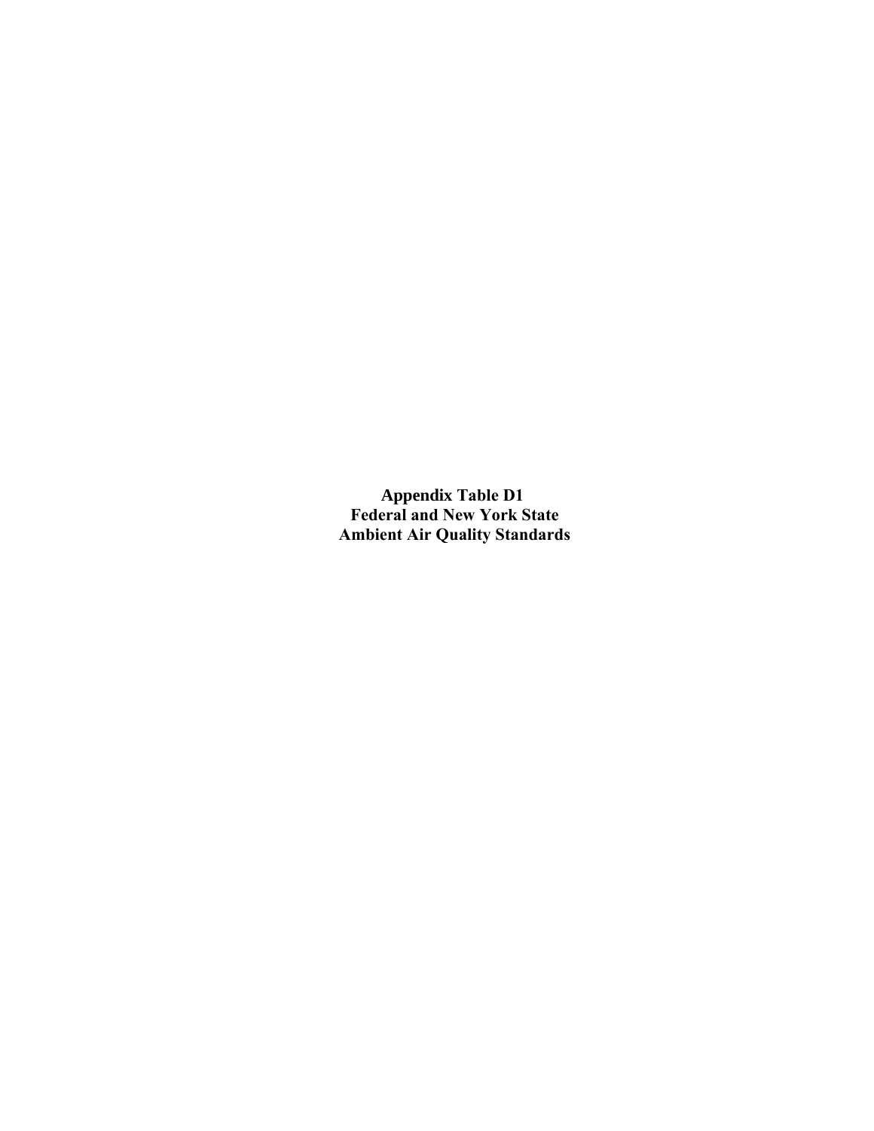**Appendix Table D1 Federal and New York State Ambient Air Quality Standards**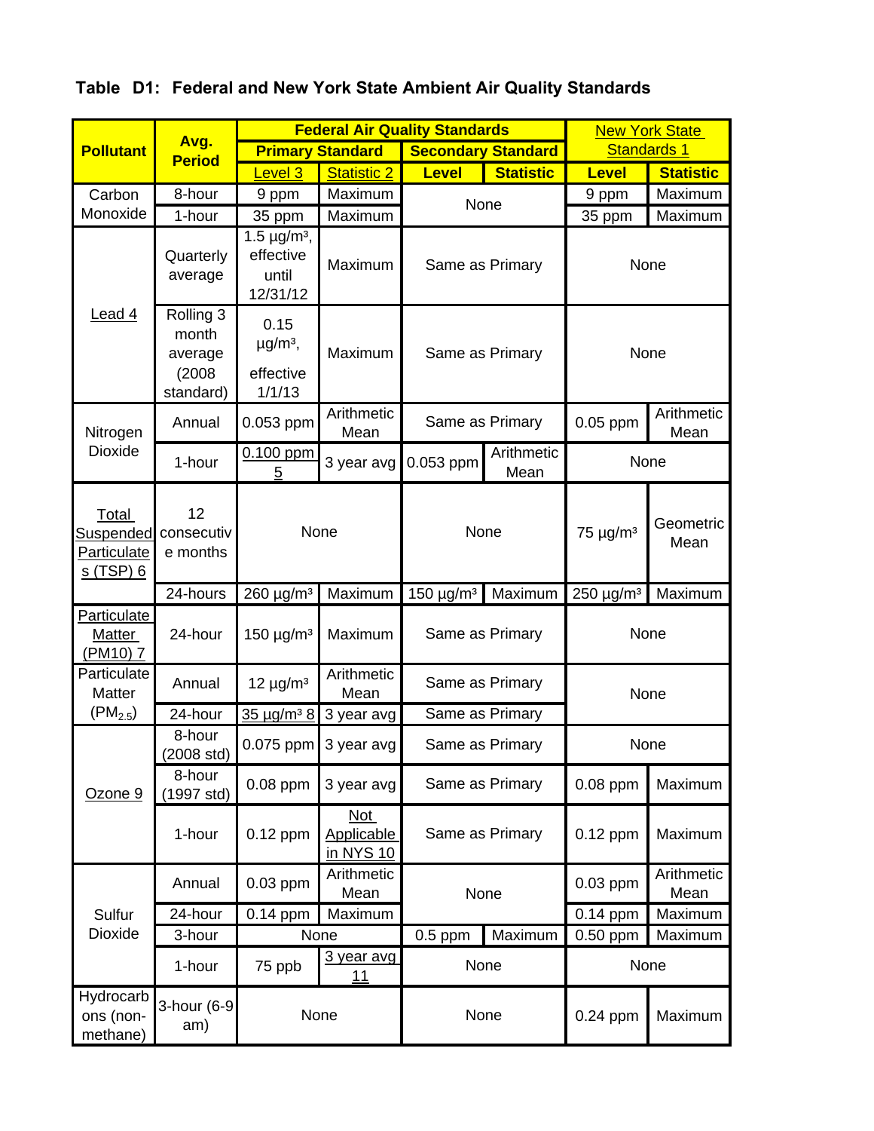|                                                              |                                                      |                                                                |                                       | <b>Federal Air Quality Standards</b> |                  |                 | <b>New York State</b> |  |      |
|--------------------------------------------------------------|------------------------------------------------------|----------------------------------------------------------------|---------------------------------------|--------------------------------------|------------------|-----------------|-----------------------|--|------|
| <b>Pollutant</b>                                             | Avg.<br><b>Period</b>                                |                                                                | <b>Primary Standard</b>               | <b>Secondary Standard</b>            |                  |                 | <b>Standards 1</b>    |  |      |
|                                                              |                                                      | Level 3                                                        | <b>Statistic 2</b>                    | <b>Level</b>                         | <b>Statistic</b> | <b>Level</b>    | <b>Statistic</b>      |  |      |
| Carbon                                                       | 8-hour                                               | 9 ppm                                                          | Maximum                               | None                                 |                  | 9 ppm           | Maximum               |  |      |
| Monoxide                                                     | 1-hour                                               | 35 ppm                                                         | Maximum                               |                                      |                  | 35 ppm          | Maximum               |  |      |
|                                                              | Quarterly<br>average                                 | 1.5 $\mu$ g/m <sup>3</sup> ,<br>effective<br>until<br>12/31/12 | Maximum                               |                                      | Same as Primary  |                 | None                  |  |      |
| Lead 4                                                       | Rolling 3<br>month<br>average<br>(2008)<br>standard) | 0.15<br>$\mu$ g/m <sup>3</sup> ,<br>effective<br>1/1/13        | Maximum                               | Same as Primary                      |                  |                 |                       |  | None |
| Nitrogen                                                     | Annual                                               | 0.053 ppm                                                      | Arithmetic<br>Mean                    |                                      | Same as Primary  | $0.05$ ppm      | Arithmetic<br>Mean    |  |      |
| Dioxide                                                      | 1-hour                                               | $0.100$ ppm<br>5                                               | 3 year avg                            | Arithmetic<br>0.053 ppm<br>Mean      |                  |                 | None                  |  |      |
| Total<br>Suspended<br><b>Particulate</b><br><u>s (TSP) 6</u> | 12<br>consecutiv<br>e months                         |                                                                | None                                  | None                                 |                  | $75 \mu g/m^3$  | Geometric<br>Mean     |  |      |
|                                                              | 24-hours                                             | 260 µg/m <sup>3</sup>                                          | Maximum                               | 150 $\mu$ g/m <sup>3</sup>           | Maximum          | $250 \mu g/m^3$ | Maximum               |  |      |
| <b>Particulate</b><br><b>Matter</b><br>(PM <sub>10</sub> ) 7 | 24-hour                                              | $150 \mu g/m3$                                                 | Maximum                               | Same as Primary                      |                  | None            |                       |  |      |
| Particulate<br>Matter                                        | Annual                                               | $12 \mu g/m^3$                                                 | Arithmetic<br>Mean                    |                                      | Same as Primary  | None            |                       |  |      |
| $(PM_{2.5})$                                                 | 24-hour                                              | $35 \mu q/m^3 8$                                               | 3 year avg                            | Same as Primary                      |                  |                 |                       |  |      |
|                                                              | 8-hour<br>$(2008 \text{ std})$                       |                                                                | 0.075 ppm 3 year avg                  |                                      | Same as Primary  |                 | None                  |  |      |
| Ozone 9                                                      | 8-hour<br>(1997 std)                                 | $0.08$ ppm                                                     | 3 year avg                            | Same as Primary                      |                  | 0.08 ppm        | Maximum               |  |      |
|                                                              | 1-hour                                               | $0.12$ ppm                                                     | Not<br><b>Applicable</b><br>in NYS 10 |                                      | Same as Primary  | $0.12$ ppm      | Maximum               |  |      |
|                                                              | Annual                                               | 0.03 ppm                                                       | Arithmetic<br>Mean                    | None                                 |                  | 0.03 ppm        | Arithmetic<br>Mean    |  |      |
| Sulfur                                                       | 24-hour                                              | 0.14 ppm                                                       | Maximum                               |                                      |                  | 0.14 ppm        | Maximum               |  |      |
| Dioxide                                                      | 3-hour                                               |                                                                | None                                  | $0.5$ ppm                            | Maximum          | 0.50 ppm        | Maximum               |  |      |
|                                                              | 1-hour                                               | 75 ppb                                                         | 3 year avg<br>11                      | None                                 |                  |                 | None                  |  |      |
| Hydrocarb<br>ons (non-<br>methane)                           | 3-hour (6-9<br>am)                                   |                                                                | None                                  |                                      | None             |                 | Maximum               |  |      |

**Table D1: Federal and New York State Ambient Air Quality Standards**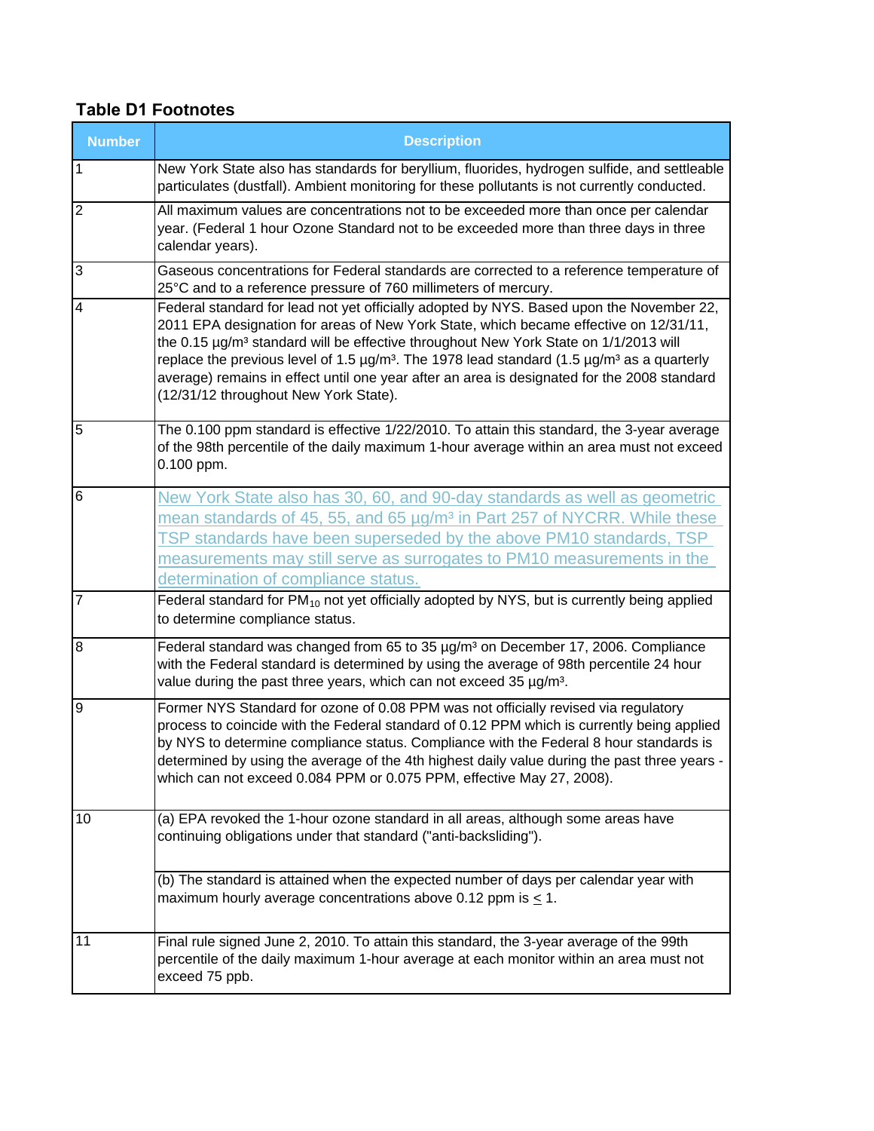#### **Table D1 Footnotes**

| <b>Number</b>           | <b>Description</b>                                                                                                                                                                                                                                                                                                                                                                                                                                                                                                                      |
|-------------------------|-----------------------------------------------------------------------------------------------------------------------------------------------------------------------------------------------------------------------------------------------------------------------------------------------------------------------------------------------------------------------------------------------------------------------------------------------------------------------------------------------------------------------------------------|
| 1                       | New York State also has standards for beryllium, fluorides, hydrogen sulfide, and settleable<br>particulates (dustfall). Ambient monitoring for these pollutants is not currently conducted.                                                                                                                                                                                                                                                                                                                                            |
| $\overline{c}$          | All maximum values are concentrations not to be exceeded more than once per calendar<br>year. (Federal 1 hour Ozone Standard not to be exceeded more than three days in three<br>calendar years).                                                                                                                                                                                                                                                                                                                                       |
| 3                       | Gaseous concentrations for Federal standards are corrected to a reference temperature of<br>25°C and to a reference pressure of 760 millimeters of mercury.                                                                                                                                                                                                                                                                                                                                                                             |
| $\overline{\mathbf{4}}$ | Federal standard for lead not yet officially adopted by NYS. Based upon the November 22,<br>2011 EPA designation for areas of New York State, which became effective on 12/31/11,<br>the 0.15 µg/m <sup>3</sup> standard will be effective throughout New York State on 1/1/2013 will<br>replace the previous level of 1.5 $\mu g/m^3$ . The 1978 lead standard (1.5 $\mu g/m^3$ as a quarterly<br>average) remains in effect until one year after an area is designated for the 2008 standard<br>(12/31/12 throughout New York State). |
| 5                       | The 0.100 ppm standard is effective 1/22/2010. To attain this standard, the 3-year average<br>of the 98th percentile of the daily maximum 1-hour average within an area must not exceed<br>0.100 ppm.                                                                                                                                                                                                                                                                                                                                   |
| 6                       | New York State also has 30, 60, and 90-day standards as well as geometric<br>mean standards of 45, 55, and 65 $\mu$ g/m <sup>3</sup> in Part 257 of NYCRR. While these<br>TSP standards have been superseded by the above PM10 standards, TSP<br>measurements may still serve as surrogates to PM10 measurements in the<br>determination of compliance status.                                                                                                                                                                          |
| $\overline{7}$          | Federal standard for $PM_{10}$ not yet officially adopted by NYS, but is currently being applied<br>to determine compliance status.                                                                                                                                                                                                                                                                                                                                                                                                     |
| 8                       | Federal standard was changed from 65 to 35 µg/m <sup>3</sup> on December 17, 2006. Compliance<br>with the Federal standard is determined by using the average of 98th percentile 24 hour<br>value during the past three years, which can not exceed 35 µg/m <sup>3</sup> .                                                                                                                                                                                                                                                              |
| 9                       | Former NYS Standard for ozone of 0.08 PPM was not officially revised via regulatory<br>process to coincide with the Federal standard of 0.12 PPM which is currently being applied<br>by NYS to determine compliance status. Compliance with the Federal 8 hour standards is<br>determined by using the average of the 4th highest daily value during the past three years -<br>which can not exceed 0.084 PPM or 0.075 PPM, effective May 27, 2008).                                                                                    |
| 10                      | (a) EPA revoked the 1-hour ozone standard in all areas, although some areas have<br>continuing obligations under that standard ("anti-backsliding").                                                                                                                                                                                                                                                                                                                                                                                    |
|                         | (b) The standard is attained when the expected number of days per calendar year with<br>maximum hourly average concentrations above 0.12 ppm is $< 1$ .                                                                                                                                                                                                                                                                                                                                                                                 |
| 11                      | Final rule signed June 2, 2010. To attain this standard, the 3-year average of the 99th<br>percentile of the daily maximum 1-hour average at each monitor within an area must not<br>exceed 75 ppb.                                                                                                                                                                                                                                                                                                                                     |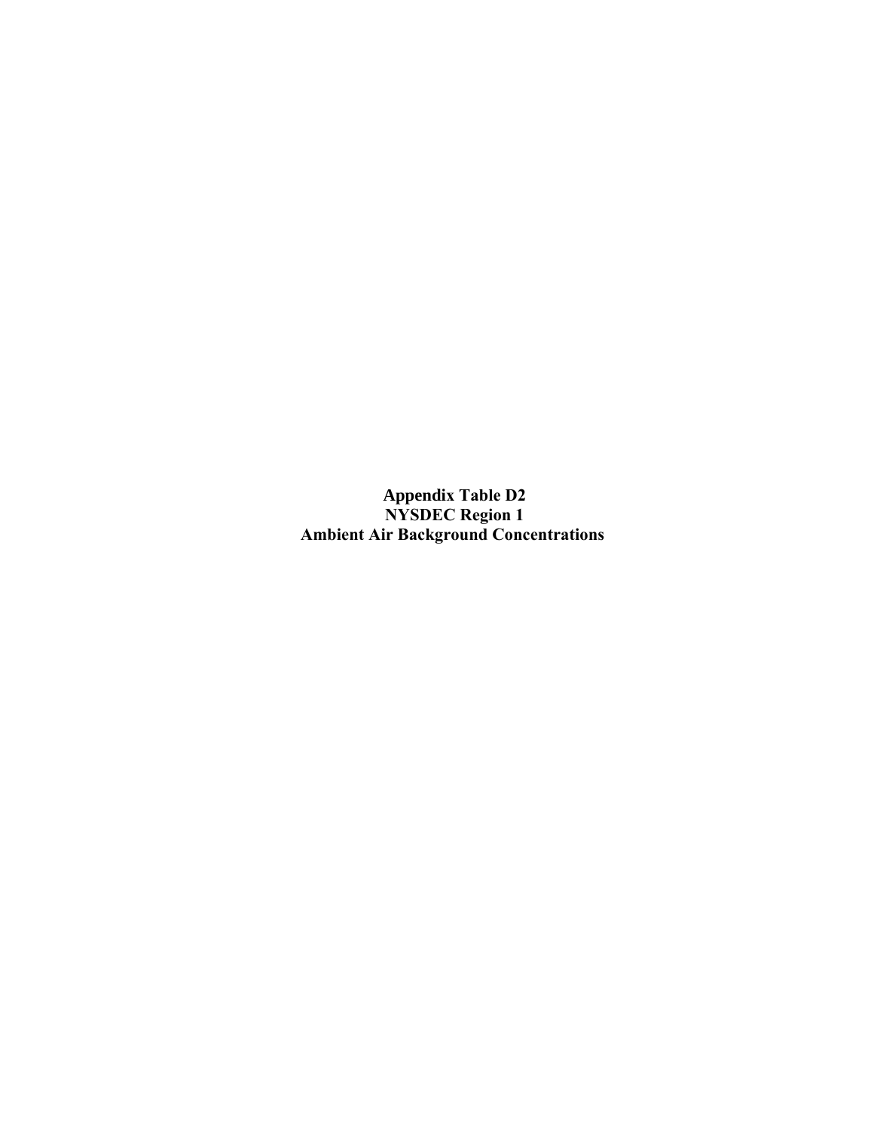**Appendix Table D2 NYSDEC Region 1 Ambient Air Background Concentrations**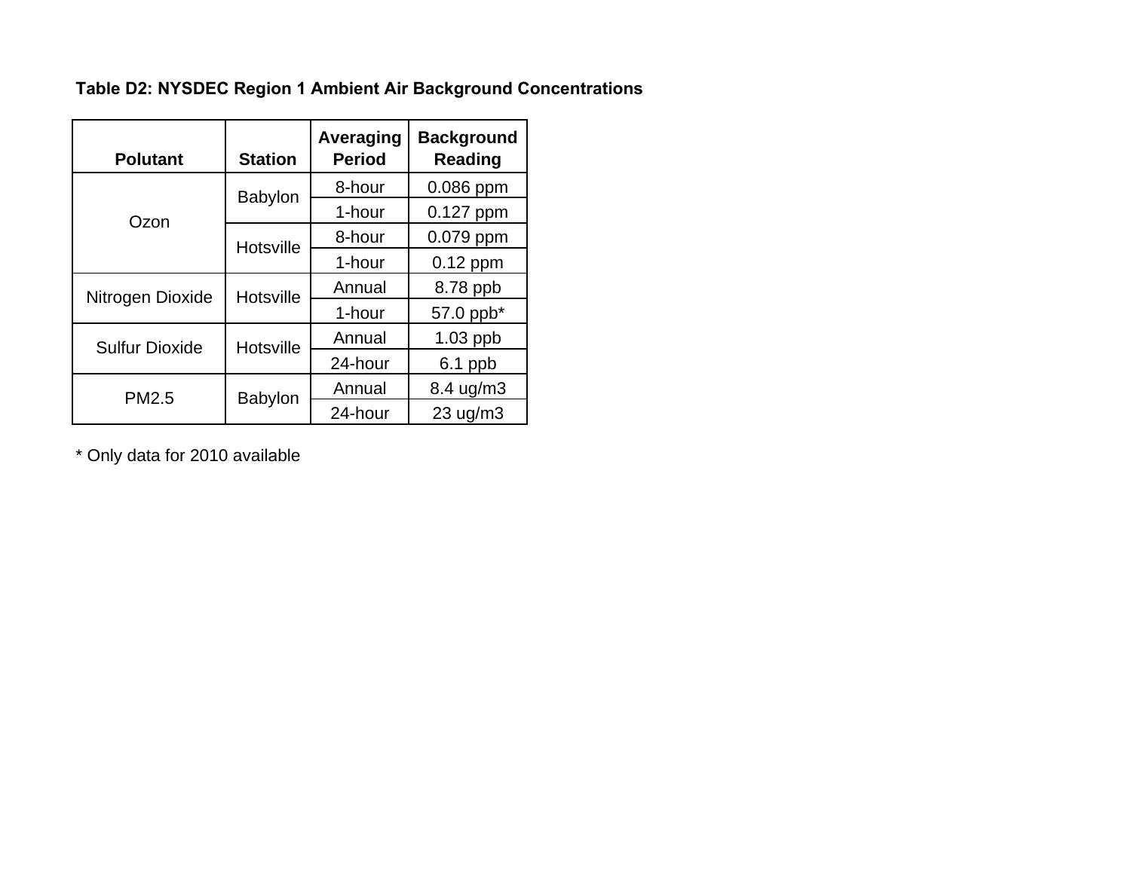**Table D2: NYSDEC Region 1 Ambient Air Background Concentrations**

| <b>Polutant</b>       | <b>Station</b>   | Averaging<br><b>Period</b> | <b>Background</b><br>Reading |
|-----------------------|------------------|----------------------------|------------------------------|
|                       | <b>Babylon</b>   | 8-hour                     | 0.086 ppm                    |
| Ozon                  |                  | 1-hour                     | 0.127 ppm                    |
|                       | <b>Hotsville</b> | 8-hour                     | 0.079 ppm                    |
|                       |                  | 1-hour                     | $0.12$ ppm                   |
| Nitrogen Dioxide      | <b>Hotsville</b> | Annual                     | 8.78 ppb                     |
|                       |                  | 1-hour                     | 57.0 ppb*                    |
| <b>Sulfur Dioxide</b> | <b>Hotsville</b> | Annual                     | $1.03$ ppb                   |
|                       |                  | 24-hour                    | $6.1$ ppb                    |
| PM2.5                 | <b>Babylon</b>   | Annual                     | 8.4 ug/m3                    |
|                       |                  | 24-hour                    | 23 uq/m3                     |

\* Only data for 2010 available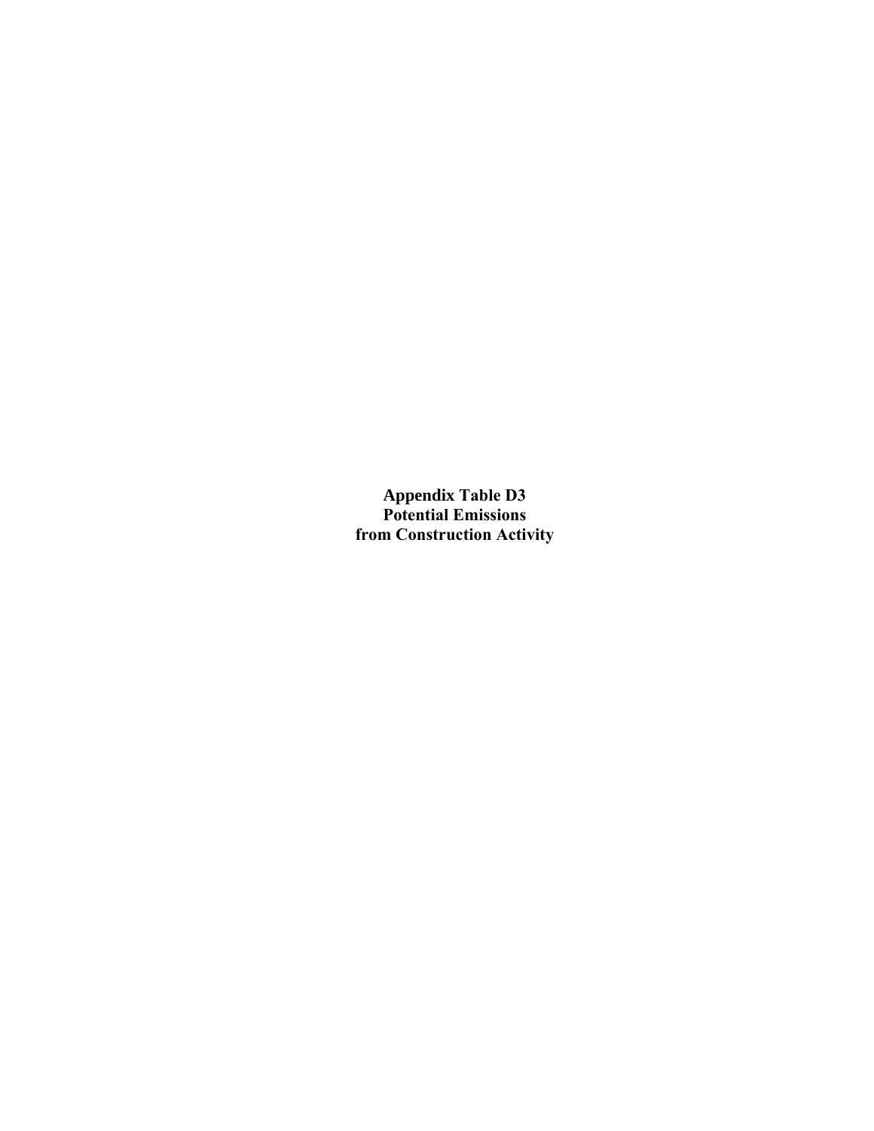**Appendix Table D3 Potential Emissions from Construction Activity**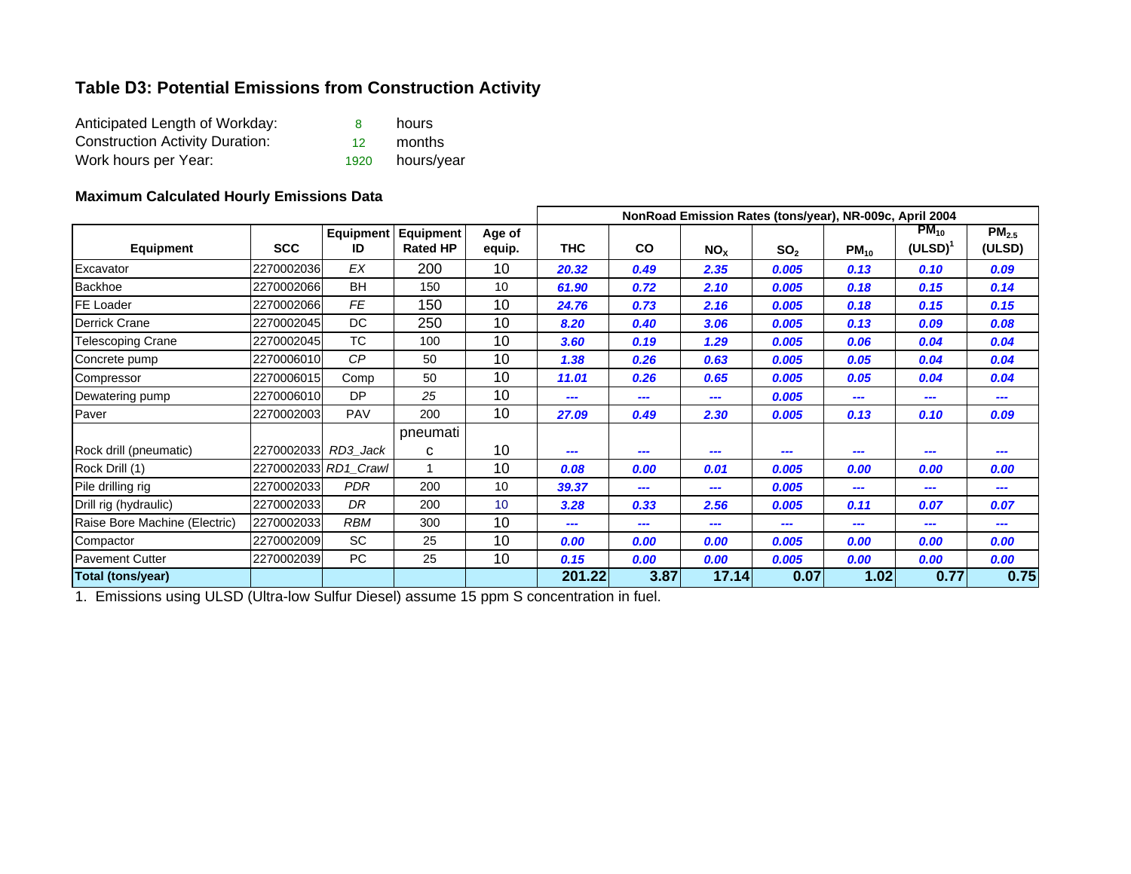#### **Table D3: Potential Emissions from Construction Activity**

| Anticipated Length of Workday:         |                 | hours      |
|----------------------------------------|-----------------|------------|
| <b>Construction Activity Duration:</b> | 12 <sub>1</sub> | months     |
| Work hours per Year:                   | 1920            | hours/year |

#### **Maximum Calculated Hourly Emissions Data**

| <b>Equipment</b>              | <b>SCC</b> | <b>Equipment</b><br>ID | <b>Equipment</b><br><b>Rated HP</b> | Age of<br>equip. | NonRoad Emission Rates (tons/year), NR-009c, April 2004 |      |                 |                 |           |                         |                             |  |  |
|-------------------------------|------------|------------------------|-------------------------------------|------------------|---------------------------------------------------------|------|-----------------|-----------------|-----------|-------------------------|-----------------------------|--|--|
|                               |            |                        |                                     |                  | <b>THC</b>                                              | CO   | NO <sub>x</sub> | SO <sub>2</sub> | $PM_{10}$ | $PM_{10}$<br>$(ULSD)^T$ | PM <sub>2.5</sub><br>(ULSD) |  |  |
| Excavator                     | 2270002036 | EX                     | 200                                 | 10               | 20.32                                                   | 0.49 | 2.35            | 0.005           | 0.13      | 0.10                    | 0.09                        |  |  |
| <b>Backhoe</b>                | 2270002066 | <b>BH</b>              | 150                                 | 10               | 61.90                                                   | 0.72 | 2.10            | 0.005           | 0.18      | 0.15                    | 0.14                        |  |  |
| <b>FE Loader</b>              | 2270002066 | <b>FE</b>              | 150                                 | 10               | 24.76                                                   | 0.73 | 2.16            | 0.005           | 0.18      | 0.15                    | 0.15                        |  |  |
| <b>Derrick Crane</b>          | 2270002045 | DC                     | 250                                 | 10               | 8.20                                                    | 0.40 | 3.06            | 0.005           | 0.13      | 0.09                    | 0.08                        |  |  |
| <b>Telescoping Crane</b>      | 2270002045 | TC.                    | 100                                 | 10               | 3.60                                                    | 0.19 | 1.29            | 0.005           | 0.06      | 0.04                    | 0.04                        |  |  |
| Concrete pump                 | 2270006010 | CP                     | 50                                  | 10               | 1.38                                                    | 0.26 | 0.63            | 0.005           | 0.05      | 0.04                    | 0.04                        |  |  |
| Compressor                    | 2270006015 | Comp                   | 50                                  | 10               | 11.01                                                   | 0.26 | 0.65            | 0.005           | 0.05      | 0.04                    | 0.04                        |  |  |
| Dewatering pump               | 2270006010 | DP                     | 25                                  | 10               | ---                                                     |      | ---             | 0.005           | ---       |                         |                             |  |  |
| Paver                         | 2270002003 | <b>PAV</b>             | 200                                 | 10               | 27.09                                                   | 0.49 | 2.30            | 0.005           | 0.13      | 0.10                    | 0.09                        |  |  |
|                               |            |                        | pneumati                            |                  |                                                         |      |                 |                 |           |                         |                             |  |  |
| Rock drill (pneumatic)        | 2270002033 | RD3_Jack               | C                                   | 10               | ---                                                     |      | ---             | ---             |           |                         |                             |  |  |
| Rock Drill (1)                |            | 2270002033 RD1 Crawl   |                                     | 10               | 0.08                                                    | 0.00 | 0.01            | 0.005           | 0.00      | 0.00                    | 0.00                        |  |  |
| Pile drilling rig             | 2270002033 | <b>PDR</b>             | 200                                 | 10               | 39.37                                                   | ---  | ---             | 0.005           | ---       | ---                     |                             |  |  |
| Drill rig (hydraulic)         | 2270002033 | DR                     | 200                                 | 10 <sup>1</sup>  | 3.28                                                    | 0.33 | 2.56            | 0.005           | 0.11      | 0.07                    | 0.07                        |  |  |
| Raise Bore Machine (Electric) | 2270002033 | <b>RBM</b>             | 300                                 | 10               | ---                                                     | ---  | ---             | ---             | ---       | ---                     | ---                         |  |  |
| Compactor                     | 2270002009 | <b>SC</b>              | 25                                  | 10               | 0.00                                                    | 0.00 | 0.00            | 0.005           | 0.00      | 0.00                    | 0.00                        |  |  |
| <b>Pavement Cutter</b>        | 2270002039 | PC                     | 25                                  | 10               | 0.15                                                    | 0.00 | 0.00            | 0.005           | 0.00      | 0.00                    | 0.00                        |  |  |
| Total (tons/year)             |            |                        |                                     |                  | 201.22                                                  | 3.87 | 17.14           | 0.07            | 1.02      | 0.77                    | 0.75                        |  |  |

1. Emissions using ULSD (Ultra-low Sulfur Diesel) assume 15 ppm S concentration in fuel.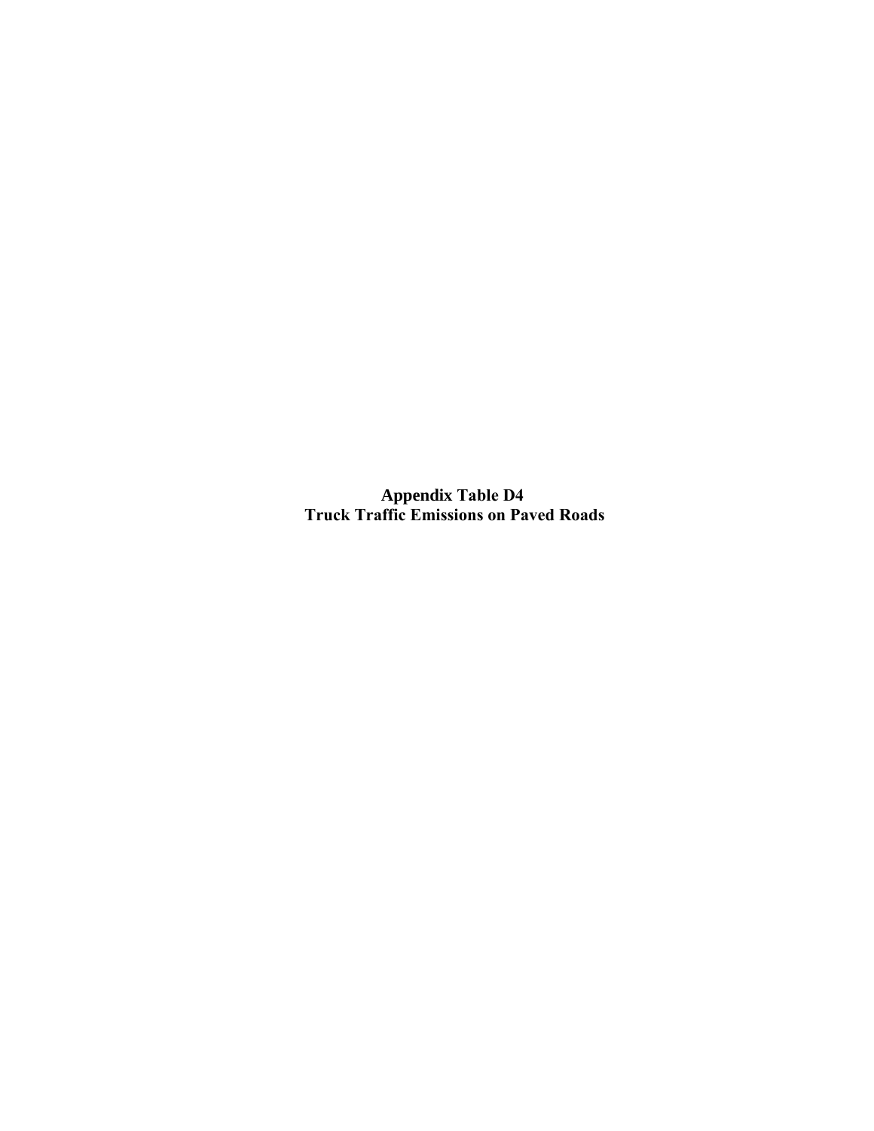**Appendix Table D4 Truck Traffic Emissions on Paved Roads**